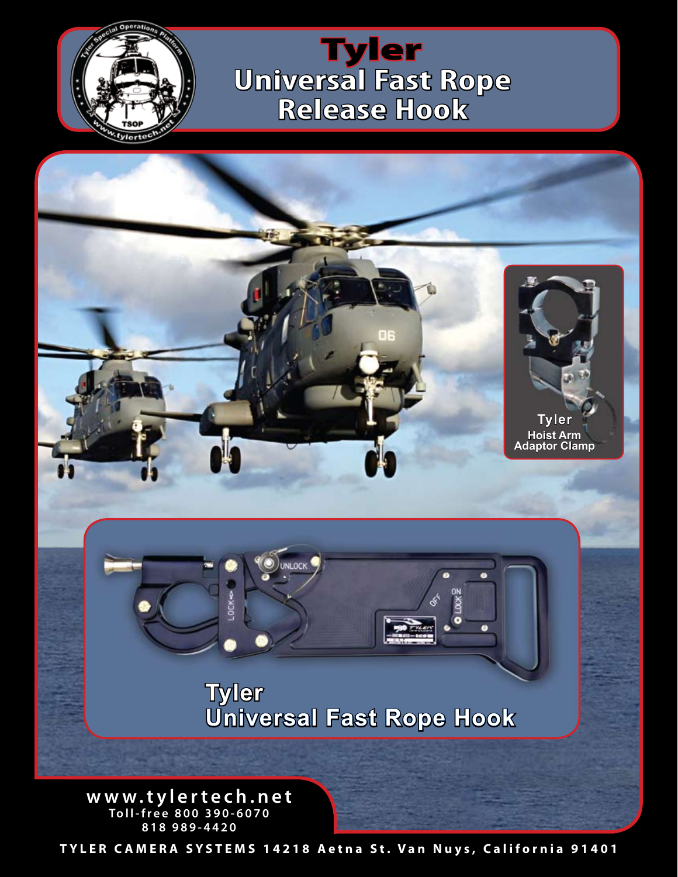

**Universal Fast Rope Release Hook** Tyler



**www.tylertech.net Toll-free 800 390-6070 818 989-4420**

**TYLER CAMERA SYSTEMS 14218 Aetna St. Van Nuys, California 91401**